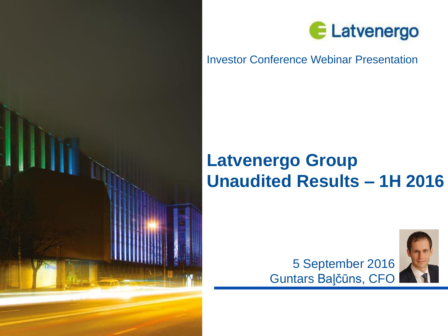



### Investor Conference Webinar Presentation

# **Latvenergo Group Unaudited Results – 1H 2016**



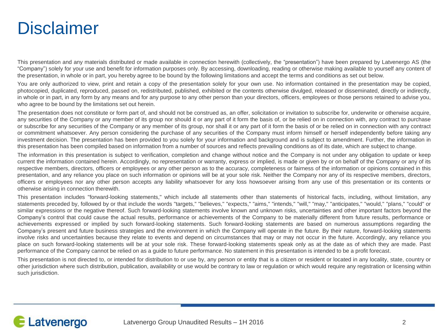## **Disclaimer**

This presentation and any materials distributed or made available in connection herewith (collectively, the "presentation") have been prepared by Latvenergo AS (the "Company") solely for your use and benefit for information purposes only. By accessing, downloading, reading or otherwise making available to yourself any content of the presentation, in whole or in part, you hereby agree to be bound by the following limitations and accept the terms and conditions as set out below.

You are only authorized to view, print and retain a copy of the presentation solely for your own use. No information contained in the presentation may be copied, photocopied, duplicated, reproduced, passed on, redistributed, published, exhibited or the contents otherwise divulged, released or disseminated, directly or indirectly, in whole or in part, in any form by any means and for any purpose to any other person than your directors, officers, employees or those persons retained to advise you, who agree to be bound by the limitations set out herein.

The presentation does not constitute or form part of, and should not be construed as, an offer, solicitation or invitation to subscribe for, underwrite or otherwise acquire, any securities of the Company or any member of its group nor should it or any part of it form the basis of, or be relied on in connection with, any contract to purchase or subscribe for any securities of the Company or any member of its group, nor shall it or any part of it form the basis of or be relied on in connection with any contract or commitment whatsoever. Any person considering the purchase of any securities of the Company must inform himself or herself independently before taking any investment decision. The presentation has been provided to you solely for your information and background and is subject to amendment. Further, the information in this presentation has been compiled based on information from a number of sources and reflects prevailing conditions as of its date, which are subject to change.

The information in this presentation is subject to verification, completion and change without notice and the Company is not under any obligation to update or keep current the information contained herein. Accordingly, no representation or warranty, express or implied, is made or given by or on behalf of the Company or any of its respective members, directors, officers or employees or any other person as to the accuracy, completeness or fairness of the information or opinions contained in this presentation, and any reliance you place on such information or opinions will be at your sole risk. Neither the Company nor any of its respective members, directors, officers or employees nor any other person accepts any liability whatsoever for any loss howsoever arising from any use of this presentation or its contents or otherwise arising in connection therewith.

This presentation includes "forward-looking statements," which include all statements other than statements of historical facts, including, without limitation, any statements preceded by, followed by or that include the words "targets," "believes," "expects," "aims," "intends," "will," "may," "anticipates," "would," "plans," "could" or similar expressions or the negative thereof. Such forward-looking statements involve known and unknown risks, uncertainties and other important factors beyond the Company's control that could cause the actual results, performance or achievements of the Company to be materially different from future results, performance or achievements expressed or implied by such forward-looking statements. Such forward-looking statements are based on numerous assumptions regarding the Company's present and future business strategies and the environment in which the Company will operate in the future. By their nature, forward-looking statements involve risks and uncertainties because they relate to events and depend on circumstances that may or may not occur in the future. Accordingly, any reliance you place on such forward-looking statements will be at your sole risk. These forward-looking statements speak only as at the date as of which they are made. Past performance of the Company cannot be relied on as a guide to future performance. No statement in this presentation is intended to be a profit forecast.

This presentation is not directed to, or intended for distribution to or use by, any person or entity that is a citizen or resident or located in any locality, state, country or other jurisdiction where such distribution, publication, availability or use would be contrary to law or regulation or which would require any registration or licensing within such jurisdiction.

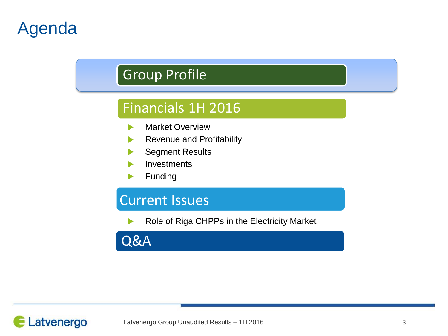# Agenda

## Group Profile

## Financials 1H 2016

- Market Overview ь
- Revenue and Profitability
- Segment Results
- **Investments**
- Funding

## Current Issues

Role of Riga CHPPs in the Electricity Market

Q&A

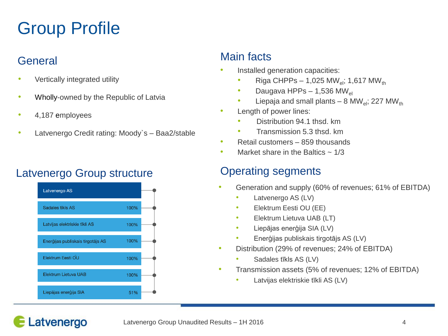# Group Profile

### **General**

- Vertically integrated utility
- Wholly-owned by the Republic of Latvia
- 4,187 employees
- Latvenergo Credit rating: Moody's Baa2/stable

### Latvenergo Group structure **Conservation Containst Conservation** Conservation Cataloguents



#### Main facts

- Installed generation capacities:
	- Riga CHPPs 1,025 MW<sub>ol</sub>; 1,617 MW<sub>th</sub>
	- Daugava HPPs 1,536 MW<sub>el</sub>
	- Liepaja and small plants 8 MW<sub>el</sub>; 227 MW<sub>th</sub>
- Length of power lines:
	- Distribution 94.1 thsd. km
	- Transmission 5.3 thsd. km
- Retail customers 859 thousands
- Market share in the Baltics  $\sim 1/3$

- Generation and supply (60% of revenues; 61% of EBITDA)
	- Latvenergo AS (LV)
	- Elektrum Eesti OU (EE)
	- Elektrum Lietuva UAB (LT)
	- Liepājas enerģija SIA (LV)
	- Enerģijas publiskais tirgotājs AS (LV)
- Distribution (29% of revenues; 24% of EBITDA)
	- Sadales tīkls AS (LV)
- Transmission assets (5% of revenues; 12% of EBITDA)
	- Latvijas elektriskie tīkli AS (LV)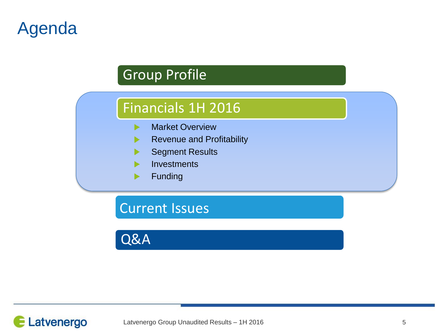# Agenda

## Group Profile

## Financials 1H 2016

- Market Overview ь
- Revenue and Profitability  $\blacktriangleright$
- Segment Results D.
- **Investments**
- Funding▶

Current Issues

Q&A

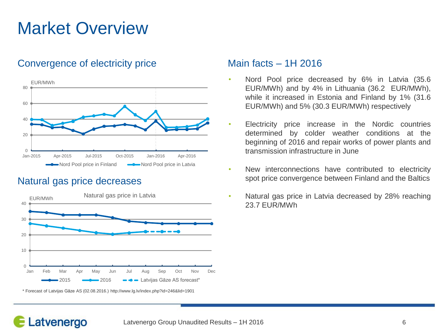# Market Overview

#### Convergence of electricity price Main facts – 1H 2016



#### Natural gas price decreases

Latvenergo



\* Forecast of Latvijas Gāze AS (02.08.2016.) http://www.lg.lv/index.php?id=246&lid=1901

- Nord Pool price decreased by 6% in Latvia (35.6 EUR/MWh) and by 4% in Lithuania (36.2 EUR/MWh), while it increased in Estonia and Finland by 1% (31.6 EUR/MWh) and 5% (30.3 EUR/MWh) respectively
- Electricity price increase in the Nordic countries determined by colder weather conditions at the beginning of 2016 and repair works of power plants and transmission infrastructure in June
- New interconnections have contributed to electricity spot price convergence between Finland and the Baltics
- Natural gas price in Latvia decreased by 28% reaching 23.7 EUR/MWh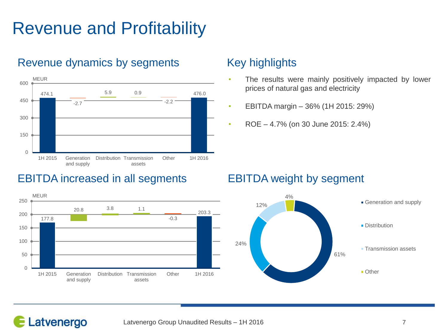# Revenue and Profitability



#### Revenue dynamics by segments

### EBITDA increased in all segments EBITDA weight by segment



### Key highlights

- The results were mainly positively impacted by lower prices of natural gas and electricity
- EBITDA margin  $-36\%$  (1H 2015: 29%)
- ROE 4.7% (on 30 June 2015: 2.4%)

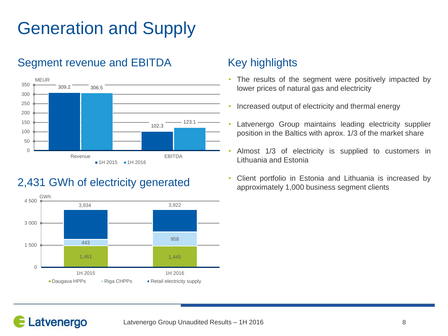# Generation and Supply

### Segment revenue and EBITDA Key highlights



### 2,431 GWh of electricity generated



- The results of the segment were positively impacted by lower prices of natural gas and electricity
- Increased output of electricity and thermal energy
- Latvenergo Group maintains leading electricity supplier position in the Baltics with aprox. 1/3 of the market share
- Almost 1/3 of electricity is supplied to customers in Lithuania and Estonia
- Client portfolio in Estonia and Lithuania is increased by approximately 1,000 business segment clients

## Latvenergo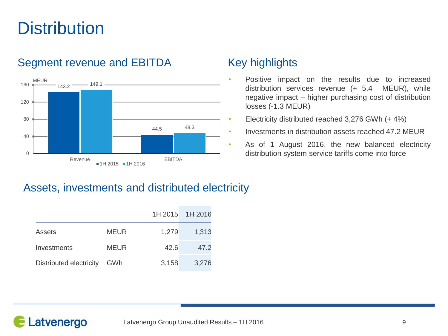# **Distribution**

### Segment revenue and EBITDA Key highlights



- Positive impact on the results due to increased distribution services revenue (+ 5.4 MEUR), while negative impact – higher purchasing cost of distribution losses (-1.3 MEUR)
- Electricity distributed reached 3,276 GWh (+ 4%)
- Investments in distribution assets reached 47.2 MEUR
- As of 1 August 2016, the new balanced electricity distribution system service tariffs come into force

### Assets, investments and distributed electricity

|                         |             |       | 1H 2015 1H 2016 |
|-------------------------|-------------|-------|-----------------|
| Assets                  | <b>MEUR</b> | 1,279 | 1,313           |
| Investments             | <b>MEUR</b> | 42.6  | 47.2            |
| Distributed electricity | GWh         | 3,158 | 3,276           |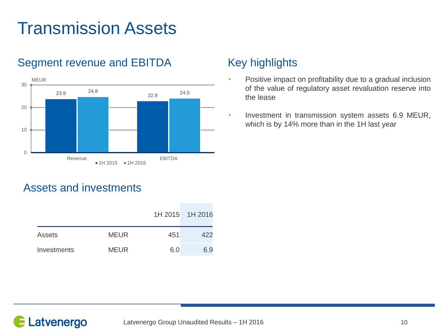# Transmission Assets



### Segment revenue and EBITDA Key highlights

- Positive impact on profitability due to a gradual inclusion of the value of regulatory asset revaluation reserve into the lease
- Investment in transmission system assets 6.9 MEUR, which is by 14% more than in the 1H last year

#### Assets and investments

|             |             |     | 1H 2015 1H 2016 |
|-------------|-------------|-----|-----------------|
| Assets      | <b>MEUR</b> | 451 | 422             |
| Investments | <b>MEUR</b> | 6.0 | 6.9             |

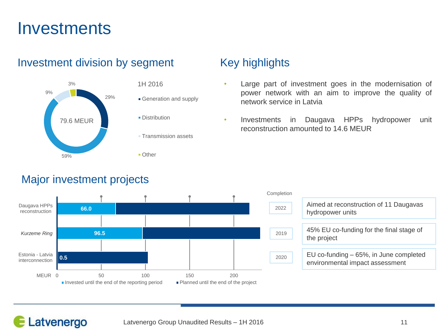## **Investments**

### 29% 59% 9% 3% 1H 2016 Other 79.6 MEUR

#### Investment division by segment Key highlights



#### **Transmission assets**

#### Major investment projects

- Large part of investment goes in the modernisation of power network with an aim to improve the quality of network service in Latvia
- Investments in Daugava HPPs hydropower unit reconstruction amounted to 14.6 MEUR

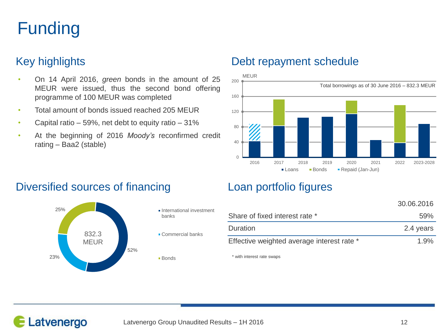# Funding

- On 14 April 2016, *green* bonds in the amount of 25 MEUR were issued, thus the second bond offering programme of 100 MEUR was completed
- Total amount of bonds issued reached 205 MEUR
- Capital ratio  $-59%$ , net debt to equity ratio  $-31%$
- At the beginning of 2016 *Moody's* reconfirmed credit rating – Baa2 (stable)

#### Key highlights **Debt repayment schedule**



#### Diversified sources of financing Loan portfolio figures



- banks
- Commercial banks

**Bonds** 

|                                            | 30.06.2016 |
|--------------------------------------------|------------|
| Share of fixed interest rate *             | 59%        |
| Duration                                   | 2.4 years  |
| Effective weighted average interest rate * | $1.9\%$    |

\* with interest rate swaps

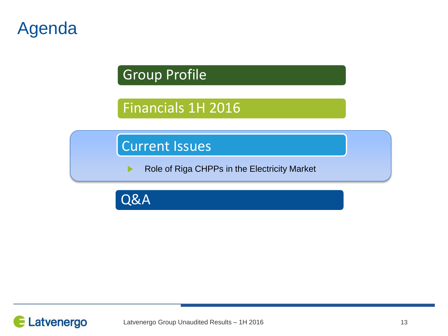## Agenda

## Group Profile

## Financials 1H 2016

## Current Issues

Role of Riga CHPPs in the Electricity Market ▶

Q&A

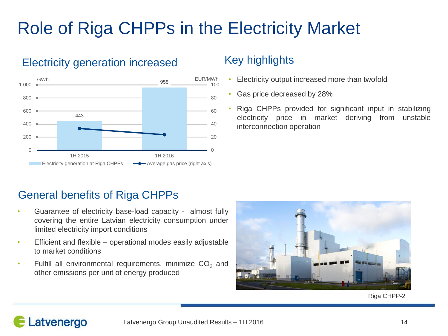# Role of Riga CHPPs in the Electricity Market



#### Electricity generation increased

### Key highlights

- Electricity output increased more than twofold
- Gas price decreased by 28%
- Riga CHPPs provided for significant input in stabilizing electricity price in market deriving from unstable interconnection operation

### General benefits of Riga CHPPs

Latvenergo

- Guarantee of electricity base-load capacity almost fully covering the entire Latvian electricity consumption under limited electricity import conditions
- Efficient and flexible operational modes easily adjustable to market conditions
- Fulfill all environmental requirements, minimize  $CO<sub>2</sub>$  and other emissions per unit of energy produced



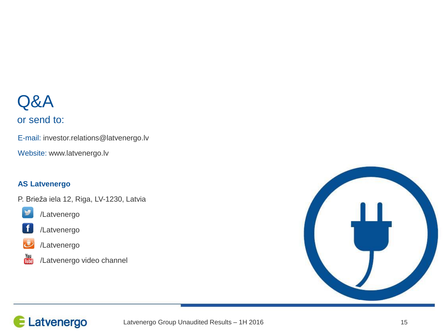## Q&A

#### or send to:

E-mail: investor.relations@latvenergo.lv

Website: www.latvenergo.lv

#### **AS Latvenergo**

P. Brieža iela 12, Riga, LV-1230, Latvia



/Latvenergo



/Latvenergo



/Latvenergo



/Latvenergo video channel



## Latvenergo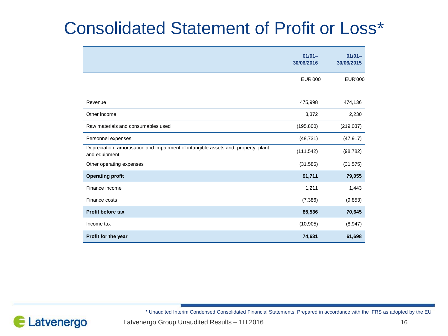# Consolidated Statement of Profit or Loss\*

|                                                                                                     | $01/01 -$<br>30/06/2016 | $01/01 -$<br>30/06/2015 |
|-----------------------------------------------------------------------------------------------------|-------------------------|-------------------------|
|                                                                                                     | <b>EUR'000</b>          | <b>EUR'000</b>          |
| Revenue                                                                                             | 475,998                 | 474,136                 |
| Other income                                                                                        | 3,372                   | 2,230                   |
| Raw materials and consumables used                                                                  | (195, 800)              | (219, 037)              |
| Personnel expenses                                                                                  | (48, 731)               | (47, 917)               |
| Depreciation, amortisation and impairment of intangible assets and property, plant<br>and equipment | (111, 542)              | (98, 782)               |
| Other operating expenses                                                                            | (31,586)                | (31, 575)               |
| <b>Operating profit</b>                                                                             | 91,711                  | 79,055                  |
| Finance income                                                                                      | 1,211                   | 1,443                   |
| Finance costs                                                                                       | (7, 386)                | (9, 853)                |
| <b>Profit before tax</b>                                                                            | 85,536                  | 70,645                  |
| Income tax                                                                                          | (10, 905)               | (8,947)                 |
| Profit for the year                                                                                 | 74,631                  | 61,698                  |

\* Unaudited Interim Condensed Consolidated Financial Statements. Prepared in accordance with the IFRS as adopted by the EU



Latvenergo Group Unaudited Results – 1H 2016 16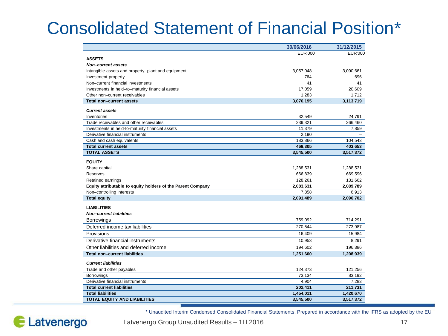# Consolidated Statement of Financial Position\*

|                                                             | 30/06/2016     | 31/12/2015 |
|-------------------------------------------------------------|----------------|------------|
|                                                             | <b>EUR'000</b> | EUR'000    |
| <b>ASSETS</b>                                               |                |            |
| <b>Non-current assets</b>                                   |                |            |
| Intangible assets and property, plant and equipment         | 3,057,048      | 3,090,661  |
| Investment property                                         | 764            | 696        |
| Non-current financial investments                           | 41             | 41         |
| Investments in held-to-maturity financial assets            | 17,059         | 20,609     |
| Other non-current receivables                               | 1.283          | 1,712      |
| Total non-current assets                                    | 3,076,195      | 3,113,719  |
| <b>Current assets</b>                                       |                |            |
| Inventories                                                 | 32,549         | 24,791     |
| Trade receivables and other receivables                     | 239,321        | 266,460    |
| Investments in held-to-maturity financial assets            | 11,379         | 7,859      |
| Derivative financial instruments                            | 2,190          |            |
| Cash and cash equivalents                                   | 183,866        | 104,543    |
| <b>Total current assets</b>                                 | 469,305        | 403,653    |
| <b>TOTAL ASSETS</b>                                         | 3,545,500      | 3,517,372  |
| <b>EQUITY</b>                                               |                |            |
| Share capital                                               | 1,288,531      | 1,288,531  |
| Reserves                                                    | 666,839        | 669,596    |
| Retained earnings                                           | 128,261        | 131,662    |
| Equity attributable to equity holders of the Parent Company | 2,083,631      | 2,089,789  |
| Non-controlling interests                                   | 7,858          | 6,913      |
| <b>Total equity</b>                                         | 2,091,489      | 2,096,702  |
| <b>LIABILITIES</b>                                          |                |            |
| <b>Non-current liabilities</b>                              |                |            |
| Borrowings                                                  | 759,092        | 714,291    |
|                                                             |                |            |
| Deferred income tax liabilities                             | 270,544        | 273,987    |
| Provisions                                                  | 16,409         | 15,984     |
| Derivative financial instruments                            | 10,953         | 8,291      |
| Other liabilities and deferred income                       | 194,602        | 196,386    |
| <b>Total non-current liabilities</b>                        | 1,251,600      | 1,208,939  |
| <b>Current liabilities</b>                                  |                |            |
| Trade and other payables                                    | 124,373        | 121,256    |
| <b>Borrowings</b>                                           | 73,134         | 83,192     |
| Derivative financial instruments                            | 4,904          | 7,283      |
| <b>Total current liabilities</b>                            | 202,411        | 211,731    |
| <b>Total liabilities</b>                                    | 1,454,011      | 1,420,670  |
| <b>TOTAL EQUITY AND LIABILITIES</b>                         | 3,545,500      | 3,517,372  |

\* Unaudited Interim Condensed Consolidated Financial Statements. Prepared in accordance with the IFRS as adopted by the EU